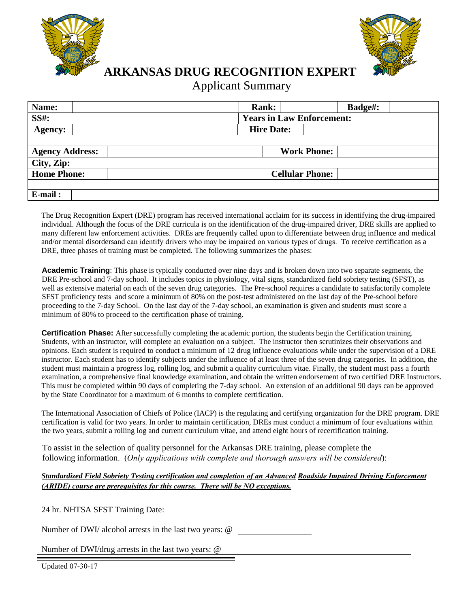



**ARKANSAS DRUG RECOGNITION EXPERT** 

## Applicant Summary

| Name:                  | <b>Rank:</b>                     | Badge#: |
|------------------------|----------------------------------|---------|
| <b>SS#:</b>            | <b>Years in Law Enforcement:</b> |         |
| Agency:                | <b>Hire Date:</b>                |         |
|                        |                                  |         |
| <b>Agency Address:</b> | <b>Work Phone:</b>               |         |
| City, Zip:             |                                  |         |
| <b>Home Phone:</b>     | <b>Cellular Phone:</b>           |         |
|                        |                                  |         |
| E-mail:                |                                  |         |

The Drug Recognition Expert (DRE) program has received international acclaim for its success in identifying the drug-impaired individual. Although the focus of the DRE curricula is on the identification of the drug-impaired driver, DRE skills are applied to many different law enforcement activities. DREs are frequently called upon to differentiate between drug influence and medical and/or mental disordersand can identify drivers who may be impaired on various types of drugs. To receive certification as a DRE, three phases of training must be completed. The following summarizes the phases:

**Academic Training**: This phase is typically conducted over nine days and is broken down into two separate segments, the DRE Pre-school and 7-day school. It includes topics in physiology, vital signs, standardized field sobriety testing (SFST), as well as extensive material on each of the seven drug categories. The Pre-school requires a candidate to satisfactorily complete SFST proficiency tests and score a minimum of 80% on the post-test administered on the last day of the Pre-school before proceeding to the 7-day School. On the last day of the 7-day school, an examination is given and students must score a minimum of 80% to proceed to the certification phase of training.

**Certification Phase:** After successfully completing the academic portion, the students begin the Certification training. Students, with an instructor, will complete an evaluation on a subject. The instructor then scrutinizes their observations and opinions. Each student is required to conduct a minimum of 12 drug influence evaluations while under the supervision of a DRE instructor. Each student has to identify subjects under the influence of at least three of the seven drug categories. In addition, the student must maintain a progress log, rolling log, and submit a quality curriculum vitae. Finally, the student must pass a fourth examination, a comprehensive final knowledge examination, and obtain the written endorsement of two certified DRE Instructors. This must be completed within 90 days of completing the 7-day school. An extension of an additional 90 days can be approved by the State Coordinator for a maximum of 6 months to complete certification.

The International Association of Chiefs of Police (IACP) is the regulating and certifying organization for the DRE program. DRE certification is valid for two years. In order to maintain certification, DREs must conduct a minimum of four evaluations within the two years, submit a rolling log and current curriculum vitae, and attend eight hours of recertification training.

To assist in the selection of quality personnel for the Arkansas DRE training, please complete the following information. (*Only applications with complete and thorough answers will be considered*):

## *Standardized Field Sobriety Testing certification and completion of an Advanced Roadside Impaired Driving Enforcement (ARIDE) course are prerequisites for this course. There will be NO exceptions.*

24 hr. NHTSA SFST Training Date:

Number of DWI/ alcohol arrests in the last two years: @

Number of DWI/drug arrests in the last two years: @